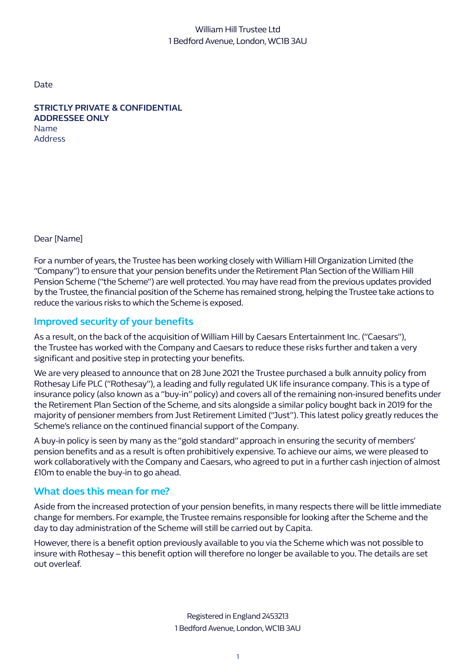# William Hill Trustee Ltd 1 Bedford Avenue, London, WC1B 3AU

Date

**STRICTLY PRIVATE & CONFIDENTIAL ADDRESSEE ONLY**  Name Address

Dear [Name]

For a number of years, the Trustee has been working closely with William Hill Organization Limited (the "Company") to ensure that your pension benefits under the Retirement Plan Section of the William Hill Pension Scheme ("the Scheme") are well protected. You may have read from the previous updates provided by the Trustee, the financial position of the Scheme has remained strong, helping the Trustee take actions to reduce the various risks to which the Scheme is exposed.

# **Improved security of your benefits**

As a result, on the back of the acquisition of William Hill by Caesars Entertainment Inc. ("Caesars"), the Trustee has worked with the Company and Caesars to reduce these risks further and taken a very significant and positive step in protecting your benefits.

We are very pleased to announce that on 28 June 2021 the Trustee purchased a bulk annuity policy from Rothesay Life PLC ("Rothesay"), a leading and fully regulated UK life insurance company. This is a type of insurance policy (also known as a "buy-in" policy) and covers all of the remaining non-insured benefits under the Retirement Plan Section of the Scheme, and sits alongside a similar policy bought back in 2019 for the majority of pensioner members from Just Retirement Limited ("Just"). This latest policy greatly reduces the Scheme's reliance on the continued financial support of the Company.

A buy-in policy is seen by many as the "gold standard" approach in ensuring the security of members' pension benefits and as a result is often prohibitively expensive. To achieve our aims, we were pleased to work collaboratively with the Company and Caesars, who agreed to put in a further cash injection of almost £10m to enable the buy-in to go ahead.

# **What does this mean for me?**

Aside from the increased protection of your pension benefits, in many respects there will be little immediate change for members. For example, the Trustee remains responsible for looking after the Scheme and the day to day administration of the Scheme will still be carried out by Capita.

However, there is a benefit option previously available to you via the Scheme which was not possible to insure with Rothesay – this benefit option will therefore no longer be available to you. The details are set out overleaf.

> Registered in England 2453213 1 Bedford Avenue, London, WC1B 3AU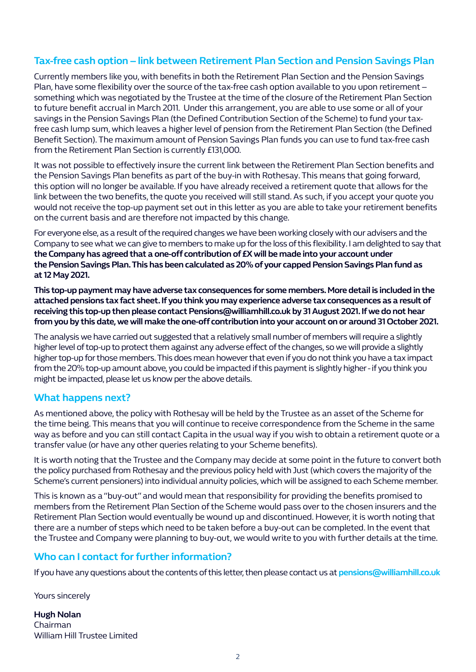# **Tax-free cash option – link between Retirement Plan Section and Pension Savings Plan**

Currently members like you, with benefits in both the Retirement Plan Section and the Pension Savings Plan, have some flexibility over the source of the tax-free cash option available to you upon retirement – something which was negotiated by the Trustee at the time of the closure of the Retirement Plan Section to future benefit accrual in March 2011. Under this arrangement, you are able to use some or all of your savings in the Pension Savings Plan (the Defined Contribution Section of the Scheme) to fund your taxfree cash lump sum, which leaves a higher level of pension from the Retirement Plan Section (the Defined Benefit Section). The maximum amount of Pension Savings Plan funds you can use to fund tax-free cash from the Retirement Plan Section is currently £131,000.

It was not possible to effectively insure the current link between the Retirement Plan Section benefits and the Pension Savings Plan benefits as part of the buy-in with Rothesay. This means that going forward, this option will no longer be available. If you have already received a retirement quote that allows for the link between the two benefits, the quote you received will still stand. As such, if you accept your quote you would not receive the top-up payment set out in this letter as you are able to take your retirement benefits on the current basis and are therefore not impacted by this change.

For everyone else, as a result of the required changes we have been working closely with our advisers and the Company to see what we can give to members to make up for the loss of this flexibility. I am delighted to say that **the Company has agreed that a one-off contribution of £X will be made into your account under the Pension Savings Plan. This has been calculated as 20% of your capped Pension Savings Plan fund as at 12 May 2021.**

**This top-up payment may have adverse tax consequences for some members. More detail is included in the attached pensions tax fact sheet. If you think you may experience adverse tax consequences as a result of receiving this top-up then please contact Pensions@williamhill.co.uk by 31 August 2021. If we do not hear from you by this date, we will make the one-off contribution into your account on or around 31 October 2021.** 

The analysis we have carried out suggested that a relatively small number of members will require a slightly higher level of top-up to protect them against any adverse effect of the changes, so we will provide a slightly higher top-up for those members. This does mean however that even if you do not think you have a tax impact from the 20% top-up amount above, you could be impacted if this payment is slightly higher - if you think you might be impacted, please let us know per the above details.

#### **What happens next?**

As mentioned above, the policy with Rothesay will be held by the Trustee as an asset of the Scheme for the time being. This means that you will continue to receive correspondence from the Scheme in the same way as before and you can still contact Capita in the usual way if you wish to obtain a retirement quote or a transfer value (or have any other queries relating to your Scheme benefits).

It is worth noting that the Trustee and the Company may decide at some point in the future to convert both the policy purchased from Rothesay and the previous policy held with Just (which covers the majority of the Scheme's current pensioners) into individual annuity policies, which will be assigned to each Scheme member.

This is known as a "buy-out" and would mean that responsibility for providing the benefits promised to members from the Retirement Plan Section of the Scheme would pass over to the chosen insurers and the Retirement Plan Section would eventually be wound up and discontinued. However, it is worth noting that there are a number of steps which need to be taken before a buy-out can be completed. In the event that the Trustee and Company were planning to buy-out, we would write to you with further details at the time.

#### **Who can I contact for further information?**

If you have any questions about the contents of this letter, then please contact us at **pensions@williamhill.co.uk**

Yours sincerely

**Hugh Nolan** Chairman William Hill Trustee Limited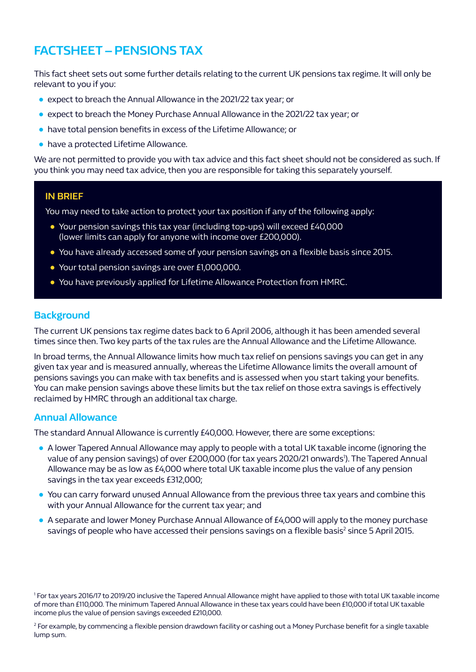# **FACTSHEET – PENSIONS TAX**

This fact sheet sets out some further details relating to the current UK pensions tax regime. It will only be relevant to you if you:

- expect to breach the Annual Allowance in the 2021/22 tax year; or
- expect to breach the Money Purchase Annual Allowance in the 2021/22 tax year; or
- have total pension benefits in excess of the Lifetime Allowance; or
- have a protected Lifetime Allowance.

We are not permitted to provide you with tax advice and this fact sheet should not be considered as such. If you think you may need tax advice, then you are responsible for taking this separately yourself.

#### **IN BRIEF**

You may need to take action to protect your tax position if any of the following apply:

- Your pension savings this tax year (including top-ups) will exceed £40,000 (lower limits can apply for anyone with income over £200,000).
- You have already accessed some of your pension savings on a flexible basis since 2015.
- Your total pension savings are over £1,000,000.
- You have previously applied for Lifetime Allowance Protection from HMRC.

#### **Background**

The current UK pensions tax regime dates back to 6 April 2006, although it has been amended several times since then. Two key parts of the tax rules are the Annual Allowance and the Lifetime Allowance.

In broad terms, the Annual Allowance limits how much tax relief on pensions savings you can get in any given tax year and is measured annually, whereas the Lifetime Allowance limits the overall amount of pensions savings you can make with tax benefits and is assessed when you start taking your benefits. You can make pension savings above these limits but the tax relief on those extra savings is effectively reclaimed by HMRC through an additional tax charge.

#### **Annual Allowance**

The standard Annual Allowance is currently £40,000. However, there are some exceptions:

- A lower Tapered Annual Allowance may apply to people with a total UK taxable income (ignoring the value of any pension savings) of over £200,000 (for tax years 2020/21 onwards<sup>1</sup>). The Tapered Annual Allowance may be as low as £4,000 where total UK taxable income plus the value of any pension savings in the tax year exceeds £312,000;
- You can carry forward unused Annual Allowance from the previous three tax years and combine this with your Annual Allowance for the current tax year; and
- A separate and lower Money Purchase Annual Allowance of £4,000 will apply to the money purchase savings of people who have accessed their pensions savings on a flexible basis<sup>2</sup> since 5 April 2015.

1 For tax years 2016/17 to 2019/20 inclusive the Tapered Annual Allowance might have applied to those with total UK taxable income of more than £110,000. The minimum Tapered Annual Allowance in these tax years could have been £10,000 if total UK taxable income plus the value of pension savings exceeded £210,000.

2 For example, by commencing a flexible pension drawdown facility or cashing out a Money Purchase benefit for a single taxable lump sum.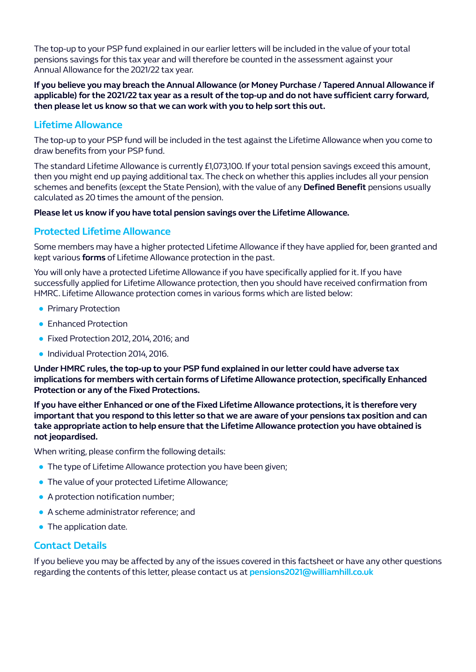The top-up to your PSP fund explained in our earlier letters will be included in the value of your total pensions savings for this tax year and will therefore be counted in the assessment against your Annual Allowance for the 2021/22 tax year.

**If you believe you may breach the Annual Allowance (or Money Purchase / Tapered Annual Allowance if applicable) for the 2021/22 tax year as a result of the top-up and do not have sufficient carry forward, then please let us know so that we can work with you to help sort this out.**

# **Lifetime Allowance**

The top-up to your PSP fund will be included in the test against the Lifetime Allowance when you come to draw benefits from your PSP fund.

The standard Lifetime Allowance is currently £1,073,100. If your total pension savings exceed this amount, then you might end up paying additional tax. The check on whether this applies includes all your pension schemes and benefits (except the State Pension), with the value of any **Defined Benefit** pensions usually calculated as 20 times the amount of the pension.

#### **Please let us know if you have total pension savings over the Lifetime Allowance.**

# **Protected Lifetime Allowance**

Some members may have a higher protected Lifetime Allowance if they have applied for, been granted and kept various **forms** of Lifetime Allowance protection in the past.

You will only have a protected Lifetime Allowance if you have specifically applied for it. If you have successfully applied for Lifetime Allowance protection, then you should have received confirmation from HMRC. Lifetime Allowance protection comes in various forms which are listed below:

- Primary Protection
- Enhanced Protection
- Fixed Protection 2012, 2014, 2016; and
- Individual Protection 2014, 2016.

**Under HMRC rules, the top-up to your PSP fund explained in our letter could have adverse tax implications for members with certain forms of Lifetime Allowance protection, specifically Enhanced Protection or any of the Fixed Protections.**

**If you have either Enhanced or one of the Fixed Lifetime Allowance protections, it is therefore very important that you respond to this letter so that we are aware of your pensions tax position and can take appropriate action to help ensure that the Lifetime Allowance protection you have obtained is not jeopardised.**

When writing, please confirm the following details:

- **The type of Lifetime Allowance protection you have been given;**
- The value of your protected Lifetime Allowance;
- A protection notification number;
- A scheme administrator reference; and
- The application date.

#### **Contact Details**

If you believe you may be affected by any of the issues covered in this factsheet or have any other questions regarding the contents of this letter, please contact us at **pensions2021@williamhill.co.uk**